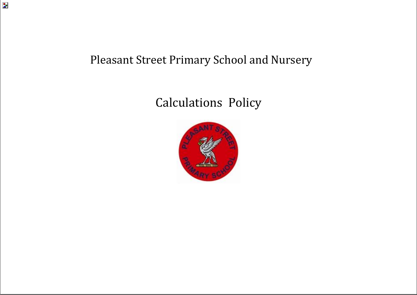Pleasant Street Primary School and Nursery

 $\overline{\mathbf{z}}$ 

## Calculations Policy

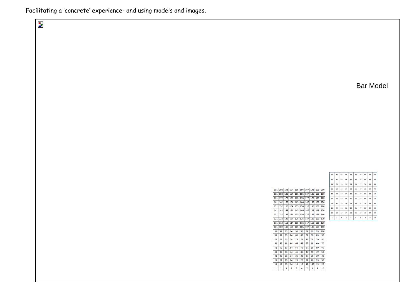Facilitating a 'concrete' experience- and using models and images.

 $\overline{\mathbf{z}}$ 

Bar Model

96 97 98 99 100 86 87 88 89

76 77 78 79

 $\alpha$ 

|     |                |     |     |     |     |     |     |     |     | 91 | 92 | 93 | 94 | 95 |
|-----|----------------|-----|-----|-----|-----|-----|-----|-----|-----|----|----|----|----|----|
|     |                |     |     |     |     |     |     |     |     | 81 | 82 | 83 | 84 | 85 |
|     |                |     |     |     |     |     |     |     |     | 71 | 72 | 73 | 74 | 75 |
| 191 | 192            | 193 | 194 | 195 | 196 | 197 | 198 | 199 | 200 | 61 | 62 | 63 | 64 | 65 |
| 181 | 182            | 183 | 184 | 185 | 186 | 187 | 188 | 189 | 190 | 51 | 52 | 53 | 54 | 55 |
| 171 | 172            | 173 | 174 | 175 | 176 | 177 | 178 | 179 | 180 | 41 | 42 | 43 | 44 | 45 |
| 161 | 162            | 163 | 164 | 165 | 166 | 167 | 168 | 169 | 170 | 31 | 32 | 33 | 34 | 35 |
| 151 | 152            | 153 | 154 | 155 | 156 | 157 | 158 | 159 | 160 | 21 | 22 | 23 | 24 | 25 |
| 141 | 142            | 143 | 144 | 145 | 146 | 147 | 148 | 149 | 150 | 11 | 12 | 13 | 14 | 15 |
| 131 | 132            | 133 | 134 | 135 | 136 | 137 | 138 | 139 | 140 |    |    |    |    |    |
| 121 | 122            | 123 | 124 | 125 | 126 | 127 | 128 | 129 | 130 | 1  | 2  | 3  | 4  | 5  |
| 111 | 112            | 113 | 114 | 115 | 116 | 117 | 118 | 119 | 120 |    |    |    |    |    |
| 101 | 102            | 103 | 104 | 105 | 106 | 107 | 108 | 109 | 110 |    |    |    |    |    |
| 91  | 92             | 93  | 94  | 95  | 96  | 97  | 98  | 99  | 100 |    |    |    |    |    |
| 81  | 82             | 83  | 84  | 85  | 86  | 87  | 88  | 89  | 90  |    |    |    |    |    |
| 71  | 72             | 73  | 74  | 75  | 76  | 77  | 78  | 79  | 80  |    |    |    |    |    |
| 61  | 62             | 63  | 64  | 65  | 66  | 67  | 68  | 69  | 70  |    |    |    |    |    |
| 51  | 52             | 53  | 54  | 55  | 56  | 57  | 58  | 59  | 60  |    |    |    |    |    |
| 41  | 42             | 43  | 44  | 45  | 46  | 47  | 48  | 49  | 50  |    |    |    |    |    |
| 31  | 32             | 33  | 34  | 35  | 36  | 37  | 38  | 39  | 40  |    |    |    |    |    |
| 21  | 22             | 23  | 24  | 25  | 26  | 27  | 28  | 29  | 30  |    |    |    |    |    |
| 11  | 12             | 13  | 14  | 15  | 16  | 17  | 188 | 19  | 20  |    |    |    |    |    |
| 1   | $\overline{2}$ | 3   | 4   | 5   | 6   | 7   | 8   | 9   | 10  |    |    |    |    |    |
|     |                |     |     |     |     |     |     |     |     |    |    |    |    |    |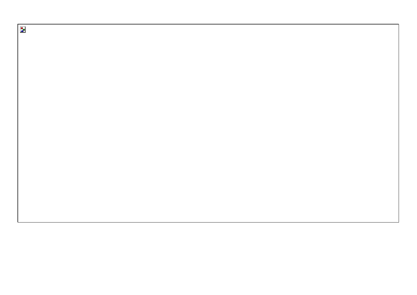$\overline{\mathbf{z}}$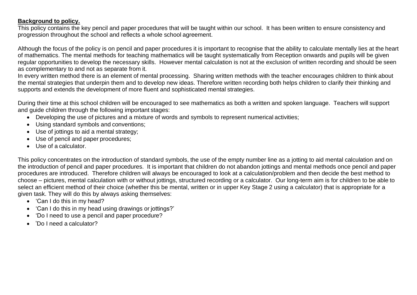## **Background to policy.**

This policy contains the key pencil and paper procedures that will be taught within our school. It has been written to ensure consistency and progression throughout the school and reflects a whole school agreement.

Although the focus of the policy is on pencil and paper procedures it is important to recognise that the ability to calculate mentally lies at the heart of mathematics. The mental methods for teaching mathematics will be taught systematically from Reception onwards and pupils will be given regular opportunities to develop the necessary skills. However mental calculation is not at the exclusion of written recording and should be seen as complementary to and not as separate from it.

In every written method there is an element of mental processing. Sharing written methods with the teacher encourages children to think about the mental strategies that underpin them and to develop new ideas. Therefore written recording both helps children to clarify their thinking and supports and extends the development of more fluent and sophisticated mental strategies.

During their time at this school children will be encouraged to see mathematics as both a written and spoken language. Teachers will support and guide children through the following important stages:

- Developing the use of pictures and a mixture of words and symbols to represent numerical activities;
- Using standard symbols and conventions;
- Use of jottings to aid a mental strategy;
- Use of pencil and paper procedures:
- Use of a calculator.

This policy concentrates on the introduction of standard symbols, the use of the empty number line as a jotting to aid mental calculation and on the introduction of pencil and paper procedures. It is important that children do not abandon jottings and mental methods once pencil and paper procedures are introduced. Therefore children will always be encouraged to look at a calculation/problem and then decide the best method to choose – pictures, mental calculation with or without jottings, structured recording or a calculator. Our long-term aim is for children to be able to select an efficient method of their choice (whether this be mental, written or in upper Key Stage 2 using a calculator) that is appropriate for a given task. They will do this by always asking themselves:

- 'Can I do this in my head?
- 'Can I do this in my head using drawings or jottings?'
- 'Do I need to use a pencil and paper procedure?
- 'Do I need a calculator?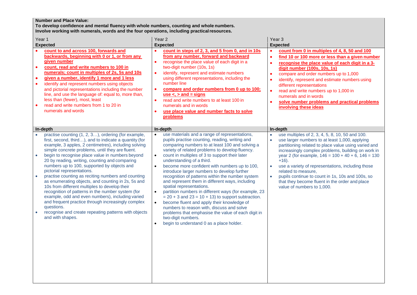**Number and Place Value:**

**To develop confidence and mental fluency with whole numbers, counting and whole numbers. Involve working with numerals, words and the four operations, including practicalresources.**

| Year 1<br><b>Expected</b>                                                                                                                                                                                                                                                                                                                                                                                                                                                                                                                                                                                                                                                                                                                                                                                                                                                              | Year <sub>2</sub><br><b>Expected</b>                                                                                                                                                                                                                                                                                                                                                                                                                                                                                                                                                                                                                                                                                                                                                                                                                                                                                                      | Year <sub>3</sub><br><b>Expected</b>                                                                                                                                                                                                                                                                                                                                                                                                                                                                                                                       |
|----------------------------------------------------------------------------------------------------------------------------------------------------------------------------------------------------------------------------------------------------------------------------------------------------------------------------------------------------------------------------------------------------------------------------------------------------------------------------------------------------------------------------------------------------------------------------------------------------------------------------------------------------------------------------------------------------------------------------------------------------------------------------------------------------------------------------------------------------------------------------------------|-------------------------------------------------------------------------------------------------------------------------------------------------------------------------------------------------------------------------------------------------------------------------------------------------------------------------------------------------------------------------------------------------------------------------------------------------------------------------------------------------------------------------------------------------------------------------------------------------------------------------------------------------------------------------------------------------------------------------------------------------------------------------------------------------------------------------------------------------------------------------------------------------------------------------------------------|------------------------------------------------------------------------------------------------------------------------------------------------------------------------------------------------------------------------------------------------------------------------------------------------------------------------------------------------------------------------------------------------------------------------------------------------------------------------------------------------------------------------------------------------------------|
| count to and across 100, forwards and<br>$\bullet$<br>backwards, beginning with 0 or 1, or from any<br>given number<br>count, read and write numbers to 100 in<br>$\bullet$<br>numerals; count in multiples of 2s, 5s and 10s<br>given a number, identify 1 more and 1 less<br>$\bullet$<br>identify and represent numbers using objects<br>$\bullet$<br>and pictorial representations including the number<br>line, and use the language of: equal to, more than,<br>less than (fewer), most, least<br>read and write numbers from 1 to 20 in<br>$\bullet$<br>numerals and words                                                                                                                                                                                                                                                                                                      | count in steps of 2, 3, and 5 from 0, and in 10s<br>$\bullet$<br>from any number, forward and backward<br>recognise the place value of each digit in a<br>$\bullet$<br>two-digit number (10s, 1s)<br>identify, represent and estimate numbers<br>$\bullet$<br>using different representations, including the<br>number line<br>compare and order numbers from 0 up to 100;<br>$\bullet$<br>use $\le$ , $>$ and $=$ signs<br>read and write numbers to at least 100 in<br>$\bullet$<br>numerals and in words<br>use place value and number facts to solve<br>problems                                                                                                                                                                                                                                                                                                                                                                      | count from 0 in multiples of 4, 8, 50 and 100<br>$\bullet$<br>find 10 or 100 more or less than a given number<br>$\bullet$<br>recognise the place value of each digit in a 3-<br>$\bullet$<br>digit number (100s, 10s, 1s)<br>compare and order numbers up to 1,000<br>$\bullet$<br>identify, represent and estimate numbers using<br>$\bullet$<br>different representations<br>read and write numbers up to 1,000 in<br>$\bullet$<br>numerals and in words<br>solve number problems and practical problems<br>$\bullet$<br>involving these ideas          |
| In-depth                                                                                                                                                                                                                                                                                                                                                                                                                                                                                                                                                                                                                                                                                                                                                                                                                                                                               | In-depth                                                                                                                                                                                                                                                                                                                                                                                                                                                                                                                                                                                                                                                                                                                                                                                                                                                                                                                                  | In-depth                                                                                                                                                                                                                                                                                                                                                                                                                                                                                                                                                   |
| practise counting (1, 2, 3), ordering (for example,<br>$\bullet$<br>first, second, third), and to indicate a quantity (for<br>example, 3 apples, 2 centimetres), including solving<br>simple concrete problems, until they are fluent.<br>begin to recognise place value in numbers beyond<br>$\bullet$<br>20 by reading, writing, counting and comparing<br>numbers up to 100, supported by objects and<br>pictorial representations.<br>practise counting as reciting numbers and counting<br>$\bullet$<br>as enumerating objects, and counting in 2s, 5s and<br>10s from different multiples to develop their<br>recognition of patterns in the number system (for<br>example, odd and even numbers), including varied<br>and frequent practice through increasingly complex<br>questions.<br>recognise and create repeating patterns with objects<br>$\bullet$<br>and with shapes. | use materials and a range of representations,<br>$\bullet$<br>pupils practise counting, reading, writing and<br>comparing numbers to at least 100 and solving a<br>variety of related problems to develop fluency.<br>count in multiples of 3 to support their later<br>$\bullet$<br>understanding of a third.<br>become more confident with numbers up to 100,<br>$\bullet$<br>introduce larger numbers to develop further<br>recognition of patterns within the number system<br>and represent them in different ways, including<br>spatial representations.<br>partition numbers in different ways (for example, 23<br>$\bullet$<br>$= 20 + 3$ and $23 = 10 + 13$ to support subtraction.<br>become fluent and apply their knowledge of<br>$\bullet$<br>numbers to reason with, discuss and solve<br>problems that emphasise the value of each digit in<br>two-digit numbers.<br>begin to understand 0 as a place holder.<br>$\bullet$ | use multiples of 2, 3, 4, 5, 8, 10, 50 and 100.<br>$\bullet$<br>use larger numbers to at least 1,000, applying<br>$\bullet$<br>partitioning related to place value using varied and<br>increasingly complex problems, building on work in<br>year 2 (for example, $146 = 100 + 40 + 6$ , $146 = 130$<br>$+16$ ).<br>use a variety of representations, including those<br>$\bullet$<br>related to measure,<br>pupils continue to count in 1s, 10s and 100s, so<br>$\bullet$<br>that they become fluent in the order and place<br>value of numbers to 1,000. |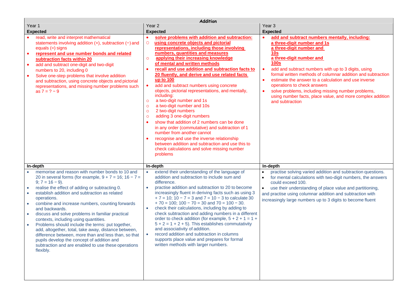| <b>Addition</b>                                                                                                                                                                                                                                                                                                                                                                                                                                                                                                                                                                                                                                                                                                                                                                                                                                                                                                                                                                          |                                                                                                                                                                                                                                                                                                                                                                                                                                                                                                                                                                    |  |  |  |
|------------------------------------------------------------------------------------------------------------------------------------------------------------------------------------------------------------------------------------------------------------------------------------------------------------------------------------------------------------------------------------------------------------------------------------------------------------------------------------------------------------------------------------------------------------------------------------------------------------------------------------------------------------------------------------------------------------------------------------------------------------------------------------------------------------------------------------------------------------------------------------------------------------------------------------------------------------------------------------------|--------------------------------------------------------------------------------------------------------------------------------------------------------------------------------------------------------------------------------------------------------------------------------------------------------------------------------------------------------------------------------------------------------------------------------------------------------------------------------------------------------------------------------------------------------------------|--|--|--|
|                                                                                                                                                                                                                                                                                                                                                                                                                                                                                                                                                                                                                                                                                                                                                                                                                                                                                                                                                                                          | Year <sub>3</sub>                                                                                                                                                                                                                                                                                                                                                                                                                                                                                                                                                  |  |  |  |
|                                                                                                                                                                                                                                                                                                                                                                                                                                                                                                                                                                                                                                                                                                                                                                                                                                                                                                                                                                                          | <b>Expected</b>                                                                                                                                                                                                                                                                                                                                                                                                                                                                                                                                                    |  |  |  |
| solve problems with addition and subtraction:<br>using concrete objects and pictorial<br>$\circ$<br>representations, including those involving<br>numbers, quantities and measures<br>applying their increasing knowledge<br>$\circ$<br>of mental and written methods<br>recall and use addition and subtraction facts to<br>20 fluently, and derive and use related facts<br>up to 100<br>add and subtract numbers using concrete<br>$\bullet$<br>objects, pictorial representations, and mentally,<br>including:<br>a two-digit number and 1s<br>$\circ$<br>a two-digit number and 10s<br>$\circ$<br>2 two-digit numbers<br>$\circ$<br>adding 3 one-digit numbers<br>$\circ$<br>show that addition of 2 numbers can be done<br>in any order (commutative) and subtraction of 1<br>number from another cannot<br>recognise and use the inverse relationship<br>$\bullet$<br>between addition and subtraction and use this to<br>check calculations and solve missing number<br>problems | add and subtract numbers mentally, including:<br>$\bullet$<br>a three-digit number and 1s<br>a three-digit number and<br>10s<br>a three-digit number and<br><b>100s</b><br>add and subtract numbers with up to 3 digits, using<br>$\bullet$<br>formal written methods of columnar addition and subtraction<br>estimate the answer to a calculation and use inverse<br>$\bullet$<br>operations to check answers<br>solve problems, including missing number problems,<br>$\bullet$<br>using number facts, place value, and more complex addition<br>and subtraction |  |  |  |
| In-depth                                                                                                                                                                                                                                                                                                                                                                                                                                                                                                                                                                                                                                                                                                                                                                                                                                                                                                                                                                                 | In-depth                                                                                                                                                                                                                                                                                                                                                                                                                                                                                                                                                           |  |  |  |
| extend their understanding of the language of<br>$\bullet$<br>addition and subtraction to include sum and<br>difference.<br>practise addition and subtraction to 20 to become<br>increasingly fluent in deriving facts such as using 3<br>$+ 7 = 10$ ; $10 - 7 = 3$ and $7 = 10 - 3$ to calculate 30<br>$+70 = 100$ ; $100 - 70 = 30$ and $70 = 100 - 30$ .<br>check their calculations, including by adding to<br>$\bullet$<br>check subtraction and adding numbers in a different<br>order to check addition (for example, $5 + 2 + 1 = 1 +$<br>$5 + 2 = 1 + 2 + 5$ ). This establishes commutativity<br>and associativity of addition.<br>record addition and subtraction in columns<br>$\bullet$<br>supports place value and prepares for formal<br>written methods with larger numbers.                                                                                                                                                                                             | practise solving varied addition and subtraction questions.<br>$\bullet$<br>for mental calculations with two-digit numbers, the answers<br>$\bullet$<br>could exceed 100.<br>use their understanding of place value and partitioning,<br>$\bullet$<br>and practise using columnar addition and subtraction with<br>increasingly large numbers up to 3 digits to become fluent                                                                                                                                                                                      |  |  |  |
| 20 in several forms (for example, $9 + 7 = 16$ ; $16 - 7 =$                                                                                                                                                                                                                                                                                                                                                                                                                                                                                                                                                                                                                                                                                                                                                                                                                                                                                                                              | Year 2<br><b>Expected</b>                                                                                                                                                                                                                                                                                                                                                                                                                                                                                                                                          |  |  |  |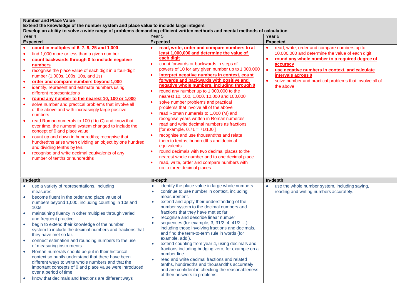## **Number and Place Value**

**Extend the knowledge of the number system and place value to include large integers**

Develop an ability to solve a wide range of problems demanding efficient written methods and mental methods of calculation

| Year 4                                                                                                                                                                                                                                                                                                                                                                                                                                                                                                                                                                                                                                                                                                                                                                                                                                                                                                                                                                                                                                                                     | Year 5                                                                                                                                                                                                                                                                                                                                                                                                                                                                                                                                                                                                                                                                                                                                                                                                                                                                                                                                                                                                                                                                                                                                        | Year <sub>6</sub>                                                                                                                                                                                                                                                                                                                                                        |  |  |
|----------------------------------------------------------------------------------------------------------------------------------------------------------------------------------------------------------------------------------------------------------------------------------------------------------------------------------------------------------------------------------------------------------------------------------------------------------------------------------------------------------------------------------------------------------------------------------------------------------------------------------------------------------------------------------------------------------------------------------------------------------------------------------------------------------------------------------------------------------------------------------------------------------------------------------------------------------------------------------------------------------------------------------------------------------------------------|-----------------------------------------------------------------------------------------------------------------------------------------------------------------------------------------------------------------------------------------------------------------------------------------------------------------------------------------------------------------------------------------------------------------------------------------------------------------------------------------------------------------------------------------------------------------------------------------------------------------------------------------------------------------------------------------------------------------------------------------------------------------------------------------------------------------------------------------------------------------------------------------------------------------------------------------------------------------------------------------------------------------------------------------------------------------------------------------------------------------------------------------------|--------------------------------------------------------------------------------------------------------------------------------------------------------------------------------------------------------------------------------------------------------------------------------------------------------------------------------------------------------------------------|--|--|
| <b>Expected</b><br>count in multiples of 6, 7, 9, 25 and 1,000<br>find 1,000 more or less than a given number<br>count backwards through 0 to include negative<br>$\bullet$<br>numbers<br>recognise the place value of each digit in a four-digit<br>٠<br>number (1,000s, 100s, 10s, and 1s)<br>order and compare numbers beyond 1,000<br>$\bullet$<br>identify, represent and estimate numbers using<br>$\bullet$<br>different representations<br>round any number to the nearest 10, 100 or 1,000<br>$\bullet$<br>solve number and practical problems that involve all<br>$\bullet$<br>of the above and with increasingly large positive<br>numbers<br>read Roman numerals to 100 (I to C) and know that<br>$\bullet$<br>over time, the numeral system changed to include the<br>concept of 0 and place value<br>count up and down in hundredths; recognise that<br>$\bullet$<br>hundredths arise when dividing an object by one hundred<br>and dividing tenths by ten.<br>recognise and write decimal equivalents of any<br>$\bullet$<br>number of tenths or hundredths | <b>Expected</b><br>read, write, order and compare numbers to at<br>$\bullet$<br>least 1,000,000 and determine the value of<br>each digit<br>count forwards or backwards in steps of<br>$\bullet$<br>powers of 10 for any given number up to 1,000,000<br>interpret negative numbers in context, count<br>$\bullet$<br>forwards and backwards with positive and<br>negative whole numbers, including through 0<br>round any number up to 1,000,000 to the<br>$\bullet$<br>nearest 10, 100, 1,000, 10,000 and 100,000<br>solve number problems and practical<br>$\bullet$<br>problems that involve all of the above<br>read Roman numerals to 1,000 (M) and<br>$\bullet$<br>recognise years written in Roman numerals<br>read and write decimal numbers as fractions<br>$\bullet$<br>[for example, $0.71 = 71/100$ ]<br>recognise and use thousandths and relate<br>$\bullet$<br>them to tenths, hundredths and decimal<br>equivalents<br>round decimals with two decimal places to the<br>$\bullet$<br>nearest whole number and to one decimal place<br>read, write, order and compare numbers with<br>$\bullet$<br>up to three decimal places | <b>Expected</b><br>read, write, order and compare numbers up to<br>10,000,000 and determine the value of each digit<br>round any whole number to a required degree of<br>$\bullet$<br>accuracy<br>$\bullet$<br>use negative numbers in context, and calculate<br>intervals across 0<br>solve number and practical problems that involve all of<br>$\bullet$<br>the above |  |  |
| In-depth                                                                                                                                                                                                                                                                                                                                                                                                                                                                                                                                                                                                                                                                                                                                                                                                                                                                                                                                                                                                                                                                   | In-depth                                                                                                                                                                                                                                                                                                                                                                                                                                                                                                                                                                                                                                                                                                                                                                                                                                                                                                                                                                                                                                                                                                                                      | In-depth                                                                                                                                                                                                                                                                                                                                                                 |  |  |
| use a variety of representations, including<br>measures.<br>become fluent in the order and place value of<br>$\bullet$<br>numbers beyond 1,000, including counting in 10s and<br>100s.<br>maintaining fluency in other multiples through varied<br>$\bullet$<br>and frequent practice.<br>begin to extend their knowledge of the number<br>$\bullet$<br>system to include the decimal numbers and fractions that<br>they have met so far.<br>connect estimation and rounding numbers to the use<br>$\bullet$<br>of measuring instruments.<br>Roman numerals should be put in their historical<br>$\bullet$<br>context so pupils understand that there have been<br>different ways to write whole numbers and that the<br>important concepts of 0 and place value were introduced<br>over a period of time<br>know that decimals and fractions are different ways                                                                                                                                                                                                           | identify the place value in large whole numbers.<br>$\bullet$<br>continue to use number in context, including<br>measurement.<br>extend and apply their understanding of the<br>$\bullet$<br>number system to the decimal numbers and<br>fractions that they have met so far.<br>recognise and describe linear number<br>$\bullet$<br>sequences (for example, 3, 31/2, 4, 41/2),<br>$\bullet$<br>including those involving fractions and decimals,<br>and find the term-to-term rule in words (for<br>example, add).<br>extend counting from year 4, using decimals and<br>$\bullet$<br>fractions including bridging zero, for example on a<br>number line.<br>read and write decimal fractions and related<br>$\bullet$<br>tenths, hundredths and thousandths accurately<br>and are confident in checking the reasonableness<br>of their answers to problems.                                                                                                                                                                                                                                                                                | use the whole number system, including saying,<br>$\bullet$<br>reading and writing numbers accurately.                                                                                                                                                                                                                                                                   |  |  |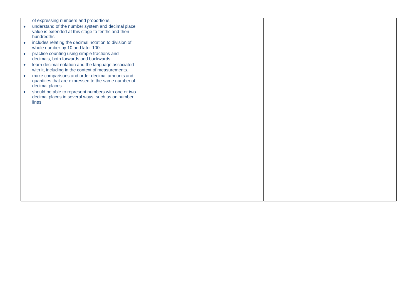|           | of expressing numbers and proportions.                |  |
|-----------|-------------------------------------------------------|--|
|           |                                                       |  |
| $\bullet$ | understand of the number system and decimal place     |  |
|           | value is extended at this stage to tenths and then    |  |
|           | hundredths.                                           |  |
| $\bullet$ | includes relating the decimal notation to division of |  |
|           |                                                       |  |
|           | whole number by 10 and later 100.                     |  |
| $\bullet$ | practise counting using simple fractions and          |  |
|           | decimals, both forwards and backwards.                |  |
| $\bullet$ | learn decimal notation and the language associated    |  |
|           |                                                       |  |
|           | with it, including in the context of measurements.    |  |
| $\bullet$ | make comparisons and order decimal amounts and        |  |
|           | quantities that are expressed to the same number of   |  |
|           | decimal places.                                       |  |
|           |                                                       |  |
| $\bullet$ | should be able to represent numbers with one or two   |  |
|           | decimal places in several ways, such as on number     |  |
|           | lines.                                                |  |
|           |                                                       |  |
|           |                                                       |  |
|           |                                                       |  |
|           |                                                       |  |
|           |                                                       |  |
|           |                                                       |  |
|           |                                                       |  |
|           |                                                       |  |
|           |                                                       |  |
|           |                                                       |  |
|           |                                                       |  |
|           |                                                       |  |
|           |                                                       |  |
|           |                                                       |  |
|           |                                                       |  |
|           |                                                       |  |
|           |                                                       |  |
|           |                                                       |  |
|           |                                                       |  |
|           |                                                       |  |
|           |                                                       |  |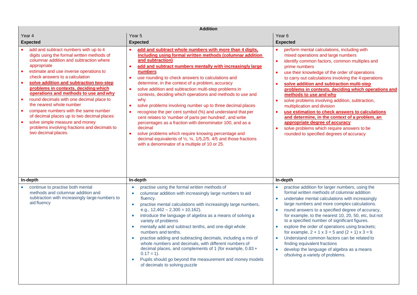| <b>Addition</b>                                                                                                                                                                                                                                                                                                                                                                                                                                                                                                                                                                                                                                                                                            |                                                                                                                                                                                                                                                                                                                                                                                                                                                                                                                                                                                                                                                                                                                                                                                                                                                                                                                                                                                                                                         |                                                                                                                                                                                                                                                                                                                                                                                                                                                                                                                                                                                                                                                                                                                                                                                              |  |  |
|------------------------------------------------------------------------------------------------------------------------------------------------------------------------------------------------------------------------------------------------------------------------------------------------------------------------------------------------------------------------------------------------------------------------------------------------------------------------------------------------------------------------------------------------------------------------------------------------------------------------------------------------------------------------------------------------------------|-----------------------------------------------------------------------------------------------------------------------------------------------------------------------------------------------------------------------------------------------------------------------------------------------------------------------------------------------------------------------------------------------------------------------------------------------------------------------------------------------------------------------------------------------------------------------------------------------------------------------------------------------------------------------------------------------------------------------------------------------------------------------------------------------------------------------------------------------------------------------------------------------------------------------------------------------------------------------------------------------------------------------------------------|----------------------------------------------------------------------------------------------------------------------------------------------------------------------------------------------------------------------------------------------------------------------------------------------------------------------------------------------------------------------------------------------------------------------------------------------------------------------------------------------------------------------------------------------------------------------------------------------------------------------------------------------------------------------------------------------------------------------------------------------------------------------------------------------|--|--|
| Year 4                                                                                                                                                                                                                                                                                                                                                                                                                                                                                                                                                                                                                                                                                                     | Year 5                                                                                                                                                                                                                                                                                                                                                                                                                                                                                                                                                                                                                                                                                                                                                                                                                                                                                                                                                                                                                                  | Year <sub>6</sub>                                                                                                                                                                                                                                                                                                                                                                                                                                                                                                                                                                                                                                                                                                                                                                            |  |  |
| <b>Expected</b>                                                                                                                                                                                                                                                                                                                                                                                                                                                                                                                                                                                                                                                                                            | <b>Expected</b>                                                                                                                                                                                                                                                                                                                                                                                                                                                                                                                                                                                                                                                                                                                                                                                                                                                                                                                                                                                                                         | <b>Expected</b>                                                                                                                                                                                                                                                                                                                                                                                                                                                                                                                                                                                                                                                                                                                                                                              |  |  |
| add and subtract numbers with up to 4<br>$\bullet$<br>digits using the formal written methods of<br>columnar addition and subtraction where<br>appropriate<br>estimate and use inverse operations to<br>$\bullet$<br>check answers to a calculation<br>solve addition and subtraction two-step<br>$\bullet$<br>problems in contexts, deciding which<br>operations and methods to use and why<br>round decimals with one decimal place to<br>$\bullet$<br>the nearest whole number<br>compare numbers with the same number<br>$\bullet$<br>of decimal places up to two decimal places<br>solve simple measure and money<br>$\bullet$<br>problems involving fractions and decimals to<br>two decimal places. | add and subtract whole numbers with more than 4 digits,<br>$\bullet$<br>including using formal written methods (columnar addition<br>and subtraction)<br>$\bullet$<br>add and subtract numbers mentally with increasingly large<br>numbers<br>use rounding to check answers to calculations and<br>$\bullet$<br>determine, in the context of a problem, accuracy<br>solve addition and subtraction multi-step problems in<br>$\bullet$<br>contexts, deciding which operations and methods to use and<br>why<br>solve problems involving number up to three decimal places<br>$\bullet$<br>recognise the per cent symbol (%) and understand that per<br>cent relates to 'number of parts per hundred', and write<br>percentages as a fraction with denominator 100, and as a<br>decimal<br>solve problems which require knowing percentage and<br>$\bullet$<br>decimal equivalents of $\frac{1}{2}$ , $\frac{1}{5}$ , $\frac{1}{5}$ , $\frac{2}{5}$ , $\frac{4}{5}$ and those fractions<br>with a denominator of a multiple of 10 or 25. | perform mental calculations, including with<br>$\bullet$<br>mixed operations and large numbers<br>identify common factors, common multiples and<br>$\bullet$<br>prime numbers<br>use their knowledge of the order of operations<br>to carry out calculations involving the 4 operations<br>solve addition and subtraction multi-step<br>$\bullet$<br>problems in contexts, deciding which operations and<br>methods to use and why<br>solve problems involving addition, subtraction,<br>$\bullet$<br>multiplication and division<br>use estimation to check answers to calculations<br>$\bullet$<br>and determine, in the context of a problem, an<br>appropriate degree of accuracy<br>solve problems which require answers to be<br>$\bullet$<br>rounded to specified degrees of accuracy |  |  |
| In-depth                                                                                                                                                                                                                                                                                                                                                                                                                                                                                                                                                                                                                                                                                                   | In-depth                                                                                                                                                                                                                                                                                                                                                                                                                                                                                                                                                                                                                                                                                                                                                                                                                                                                                                                                                                                                                                | In-depth                                                                                                                                                                                                                                                                                                                                                                                                                                                                                                                                                                                                                                                                                                                                                                                     |  |  |
| continue to practise both mental<br>methods and columnar addition and<br>subtraction with increasingly large numbers to<br>aid fluency                                                                                                                                                                                                                                                                                                                                                                                                                                                                                                                                                                     | practise using the formal written methods of<br>$\bullet$<br>columnar addition with increasingly large numbers to aid<br>$\bullet$<br>fluency.<br>practise mental calculations with increasingly large numbers,<br>$\bullet$<br>e.g., $12,462 - 2,300 = 10,162$ ).<br>introduce the language of algebra as a means of solving a<br>$\bullet$<br>variety of problems<br>mentally add and subtract tenths, and one-digit whole<br>numbers and tenths.<br>practise adding and subtracting decimals, including a mix of<br>$\bullet$<br>whole numbers and decimals, with different numbers of<br>decimal places, and complements of 1 (for example, 0.83+<br>$0.17 = 1$ .<br>Pupils should go beyond the measurement and money models<br>$\bullet$<br>of decimals to solving puzzle                                                                                                                                                                                                                                                         | practise addition for larger numbers, using the<br>formal written methods of columnar addition<br>undertake mental calculations with increasingly<br>$\bullet$<br>large numbers and more complex calculations.<br>round answers to a specified degree of accuracy,<br>$\bullet$<br>for example, to the nearest 10, 20, 50, etc, but not<br>to a specified number of significant figures.<br>explore the order of operations using brackets;<br>$\bullet$<br>for example, $2 + 1 \times 3 = 5$ and $(2 + 1) \times 3 = 9$ .<br>Understand common factors can be related to<br>$\bullet$<br>finding equivalent fractions<br>develop the language of algebra as a means<br>$\bullet$<br>ofsolving a variety of problems.                                                                        |  |  |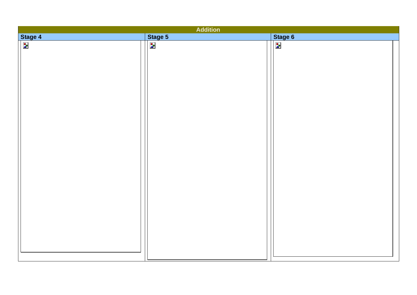| <b>Addition</b>         |                         |                          |  |  |  |
|-------------------------|-------------------------|--------------------------|--|--|--|
| Stage 4                 | Stage 5                 | Stage 6                  |  |  |  |
| $\overline{\mathbf{z}}$ | $\overline{\mathbf{z}}$ | $\overline{\phantom{a}}$ |  |  |  |
|                         |                         |                          |  |  |  |
|                         |                         |                          |  |  |  |
|                         |                         |                          |  |  |  |
|                         |                         |                          |  |  |  |
|                         |                         |                          |  |  |  |
|                         |                         |                          |  |  |  |
|                         |                         |                          |  |  |  |
|                         |                         |                          |  |  |  |
|                         |                         |                          |  |  |  |
|                         |                         |                          |  |  |  |
|                         |                         |                          |  |  |  |
|                         |                         |                          |  |  |  |
|                         |                         |                          |  |  |  |
|                         |                         |                          |  |  |  |
|                         |                         |                          |  |  |  |
|                         |                         |                          |  |  |  |
|                         |                         |                          |  |  |  |
|                         |                         |                          |  |  |  |
|                         |                         |                          |  |  |  |
|                         |                         |                          |  |  |  |
|                         |                         |                          |  |  |  |
|                         |                         |                          |  |  |  |
|                         |                         |                          |  |  |  |
|                         |                         |                          |  |  |  |
|                         |                         |                          |  |  |  |
|                         |                         |                          |  |  |  |
|                         |                         |                          |  |  |  |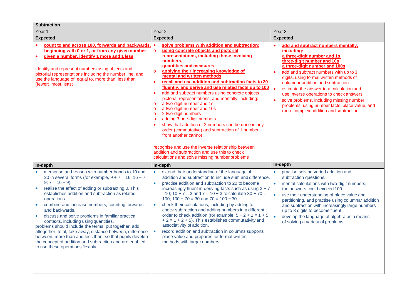| <b>Subtraction</b>                                                                                                                                                                                                                                                                                                                                                                                                                                                                                                                                                                                                                                                                                                                          |                                                                                                                                                                                                                                                                                                                                                                                                                                                                                                                                                                                                                                                                                                                                                                                                                                                                                                                                                                                                      |                                                                                                                                                                                                                                                                                                                                                                                                                                                                                                                    |  |  |  |  |
|---------------------------------------------------------------------------------------------------------------------------------------------------------------------------------------------------------------------------------------------------------------------------------------------------------------------------------------------------------------------------------------------------------------------------------------------------------------------------------------------------------------------------------------------------------------------------------------------------------------------------------------------------------------------------------------------------------------------------------------------|------------------------------------------------------------------------------------------------------------------------------------------------------------------------------------------------------------------------------------------------------------------------------------------------------------------------------------------------------------------------------------------------------------------------------------------------------------------------------------------------------------------------------------------------------------------------------------------------------------------------------------------------------------------------------------------------------------------------------------------------------------------------------------------------------------------------------------------------------------------------------------------------------------------------------------------------------------------------------------------------------|--------------------------------------------------------------------------------------------------------------------------------------------------------------------------------------------------------------------------------------------------------------------------------------------------------------------------------------------------------------------------------------------------------------------------------------------------------------------------------------------------------------------|--|--|--|--|
| Year 1                                                                                                                                                                                                                                                                                                                                                                                                                                                                                                                                                                                                                                                                                                                                      | Year <sub>2</sub>                                                                                                                                                                                                                                                                                                                                                                                                                                                                                                                                                                                                                                                                                                                                                                                                                                                                                                                                                                                    | Year <sub>3</sub>                                                                                                                                                                                                                                                                                                                                                                                                                                                                                                  |  |  |  |  |
| <b>Expected</b>                                                                                                                                                                                                                                                                                                                                                                                                                                                                                                                                                                                                                                                                                                                             | <b>Expected</b>                                                                                                                                                                                                                                                                                                                                                                                                                                                                                                                                                                                                                                                                                                                                                                                                                                                                                                                                                                                      | <b>Expected</b>                                                                                                                                                                                                                                                                                                                                                                                                                                                                                                    |  |  |  |  |
| count to and across 100, forwards and backwards,<br>beginning with 0 or 1, or from any given number<br>given a number, identify 1 more and 1 less<br>$\bullet$<br>identify and represent numbers using objects and<br>pictorial representations including the number line, and<br>use the language of: equal to, more than, less than<br>(fewer), most, least                                                                                                                                                                                                                                                                                                                                                                               | solve problems with addition and subtraction:<br>using concrete objects and pictorial<br>$\mathbf{o}$<br>representations, including those involving<br>numbers,<br>quantities and measures<br>applying their increasing knowledge of<br>$\Omega$<br>mental and written methods<br>recall and use addition and subtraction facts to 20<br>$\bullet$<br>fluently, and derive and use related facts up to 100<br>add and subtract numbers using concrete objects,<br>$\bullet$<br>pictorial representations, and mentally, including:<br>a two-digit number and 1s<br>$\mathbf{o}$<br>a two-digit number and 10s<br>$\Omega$<br>2 two-digit numbers<br>$\mathbf{o}$<br>adding 3 one-digit numbers<br>$\Omega$<br>show that addition of 2 numbers can be done in any<br>order (commutative) and subtraction of 1 number<br>from another cannot<br>recognise and use the inverse relationship between<br>addition and subtraction and use this to check<br>calculations and solve missing number problems | add and subtract numbers mentally,<br>including:<br>a three-digit number and 1s<br>three-digit number and 10s<br>a three-digit number and 100s<br>add and subtract numbers with up to 3<br>digits, using formal written methods of<br>columnar addition and subtraction<br>$\bullet$<br>estimate the answer to a calculation and<br>use inverse operations to check answers<br>solve problems, including missing number<br>problems, using number facts, place value, and<br>more complex addition and subtraction |  |  |  |  |
| In-depth                                                                                                                                                                                                                                                                                                                                                                                                                                                                                                                                                                                                                                                                                                                                    | In-depth                                                                                                                                                                                                                                                                                                                                                                                                                                                                                                                                                                                                                                                                                                                                                                                                                                                                                                                                                                                             | In-depth                                                                                                                                                                                                                                                                                                                                                                                                                                                                                                           |  |  |  |  |
| memorise and reason with number bonds to 10 and<br>20 in several forms (for example, $9 + 7 = 16$ ; $16 - 7 =$<br>$9; 7 = 16 - 9$ .<br>realise the effect of adding or subtracting 0. This<br>$\bullet$<br>establishes addition and subtraction as related<br>operations.<br>combine and increase numbers, counting forwards<br>and backwards.<br>discuss and solve problems in familiar practical<br>$\bullet$<br>contexts, including using quantities.<br>problems should include the terms: put together, add,<br>altogether, total, take away, distance between, difference<br>between, more than and less than, so that pupils develop<br>the concept of addition and subtraction and are enabled<br>to use these operations flexibly. | extend their understanding of the language of<br>$\bullet$<br>addition and subtraction to include sum and difference.<br>practise addition and subtraction to 20 to become<br>$\bullet$<br>increasingly fluent in deriving facts such as using $3 + 7$<br>$=10$ ; 10 - 7 = 3 and 7 = 10 - 3 to calculate 30 + 70 =<br>100; $100 - 70 = 30$ and $70 = 100 - 30$ .<br>check their calculations, including by adding to<br>$\bullet$<br>check subtraction and adding numbers in a different<br>order to check addition (for example, $5 + 2 + 1 = 1 + 5$<br>$+ 2 = 1 + 2 + 5$ ). This establishes commutativity and<br>associativity of addition.<br>record addition and subtraction in columns supports<br>$\bullet$<br>place value and prepares for formal written<br>methods with larger numbers                                                                                                                                                                                                     | practise solving varied addition and<br>subtraction questions.<br>mental calculations with two-digit numbers,<br>the answers could exceed 100.<br>use their understanding of place value and<br>$\bullet$<br>partitioning, and practise using columnar addition<br>and subtraction with increasingly large numbers<br>up to 3 digits to become fluent<br>develop the language of algebra as a means<br>of solving a variety of problems                                                                            |  |  |  |  |

 $\sim$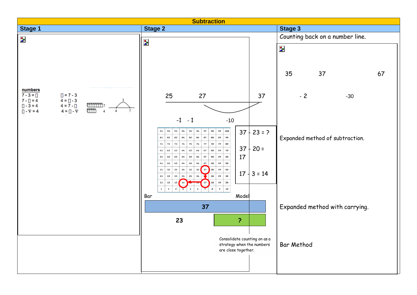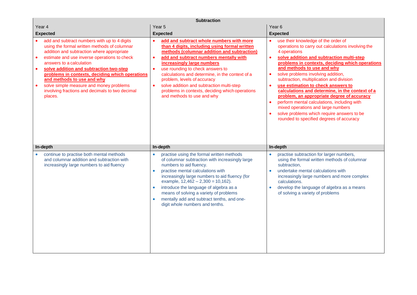| <b>Subtraction</b>                                                                                                                                                                                                                                                                                                                                                                                                                                                                                 |                                                                                                                                                                                                                                                                                                                                                                                                                                                                                                             |                                                                                                                                                                                                                                                                                                                                                                                                                                                                                                                                                                                                                                                                                                                  |  |  |
|----------------------------------------------------------------------------------------------------------------------------------------------------------------------------------------------------------------------------------------------------------------------------------------------------------------------------------------------------------------------------------------------------------------------------------------------------------------------------------------------------|-------------------------------------------------------------------------------------------------------------------------------------------------------------------------------------------------------------------------------------------------------------------------------------------------------------------------------------------------------------------------------------------------------------------------------------------------------------------------------------------------------------|------------------------------------------------------------------------------------------------------------------------------------------------------------------------------------------------------------------------------------------------------------------------------------------------------------------------------------------------------------------------------------------------------------------------------------------------------------------------------------------------------------------------------------------------------------------------------------------------------------------------------------------------------------------------------------------------------------------|--|--|
| Year 4                                                                                                                                                                                                                                                                                                                                                                                                                                                                                             | Year <sub>5</sub>                                                                                                                                                                                                                                                                                                                                                                                                                                                                                           | Year <sub>6</sub>                                                                                                                                                                                                                                                                                                                                                                                                                                                                                                                                                                                                                                                                                                |  |  |
| <b>Expected</b>                                                                                                                                                                                                                                                                                                                                                                                                                                                                                    | <b>Expected</b>                                                                                                                                                                                                                                                                                                                                                                                                                                                                                             | <b>Expected</b>                                                                                                                                                                                                                                                                                                                                                                                                                                                                                                                                                                                                                                                                                                  |  |  |
| add and subtract numbers with up to 4 digits<br>using the formal written methods of columnar<br>addition and subtraction where appropriate<br>estimate and use inverse operations to check<br>$\bullet$<br>answers to a calculation<br>solve addition and subtraction two-step<br>$\bullet$<br>problems in contexts, deciding which operations<br>and methods to use and why<br>solve simple measure and money problems<br>$\bullet$<br>involving fractions and decimals to two decimal<br>places. | add and subtract whole numbers with more<br>than 4 digits, including using formal written<br>methods (columnar addition and subtraction)<br>add and subtract numbers mentally with<br>$\bullet$<br>increasingly large numbers<br>use rounding to check answers to<br>$\bullet$<br>calculations and determine, in the context of a<br>problem, levels of accuracy<br>solve addition and subtraction multi-step<br>$\bullet$<br>problems in contexts, deciding which operations<br>and methods to use and why | use their knowledge of the order of<br>operations to carry out calculations involving the<br>4 operations<br>$\bullet$<br>solve addition and subtraction multi-step<br>problems in contexts, deciding which operations<br>and methods to use and why<br>solve problems involving addition,<br>$\bullet$<br>subtraction, multiplication and division<br>use estimation to check answers to<br>$\bullet$<br>calculations and determine, in the context of a<br>problem, an appropriate degree of accuracy<br>perform mental calculations, including with<br>$\bullet$<br>mixed operations and large numbers<br>solve problems which require answers to be<br>$\bullet$<br>rounded to specified degrees of accuracy |  |  |
| In-depth                                                                                                                                                                                                                                                                                                                                                                                                                                                                                           | In-depth                                                                                                                                                                                                                                                                                                                                                                                                                                                                                                    | In-depth                                                                                                                                                                                                                                                                                                                                                                                                                                                                                                                                                                                                                                                                                                         |  |  |
| continue to practise both mental methods<br>and columnar addition and subtraction with<br>increasingly large numbers to aid fluency                                                                                                                                                                                                                                                                                                                                                                | practise using the formal written methods<br>of columnar subtraction with increasingly large<br>numbers to aid fluency.<br>practise mental calculations with<br>$\bullet$<br>increasingly large numbers to aid fluency (for<br>example, $12,462 - 2,300 = 10,162$ .<br>introduce the language of algebra as a<br>$\bullet$<br>means of solving a variety of problems<br>mentally add and subtract tenths, and one-<br>$\bullet$<br>digit whole numbers and tenths.                                          | practise subtraction for larger numbers,<br>using the formal written methods of columnar<br>subtraction.<br>undertake mental calculations with<br>$\bullet$<br>increasingly large numbers and more complex<br>calculations.<br>develop the language of algebra as a means<br>$\bullet$<br>of solving a variety of problems                                                                                                                                                                                                                                                                                                                                                                                       |  |  |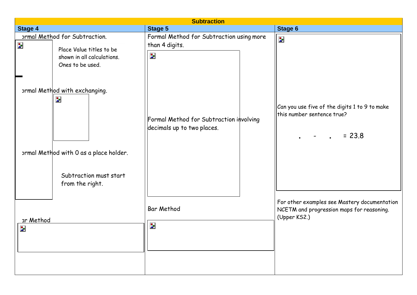| <b>Subtraction</b> |                                                                                                                                                                                                                                          |                                                                                                                                                     |                                                                                                           |  |  |  |
|--------------------|------------------------------------------------------------------------------------------------------------------------------------------------------------------------------------------------------------------------------------------|-----------------------------------------------------------------------------------------------------------------------------------------------------|-----------------------------------------------------------------------------------------------------------|--|--|--|
| <b>Stage 4</b>     |                                                                                                                                                                                                                                          | <b>Stage 5</b>                                                                                                                                      | <b>Stage 6</b>                                                                                            |  |  |  |
| þ.                 | ormal Method for Subtraction.<br>Place Value titles to be<br>shown in all calculations.<br>Ones to be used.<br>ormal Method with exchanging.<br>Þ<br>prmal Method with 0 as a place holder.<br>Subtraction must start<br>from the right. | Formal Method for Subtraction using more<br>than 4 digits.<br>$\mathbf{z}$<br>Formal Method for Subtraction involving<br>decimals up to two places. | $\mathbf{z}$<br>Can you use five of the digits 1 to 9 to make<br>this number sentence true?<br>$= 23.8$   |  |  |  |
| ar Method<br>Þ     |                                                                                                                                                                                                                                          | <b>Bar Method</b><br>$\mathbf{z}$                                                                                                                   | For other examples see Mastery documentation<br>NCETM and progression maps for reasoning.<br>(Upper KS2.) |  |  |  |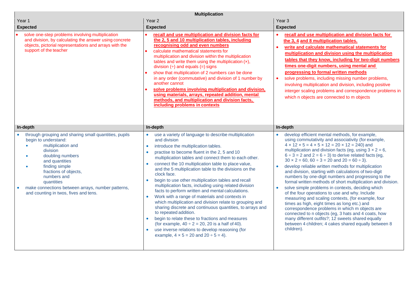| <b>Multiplication</b>                                                                                                                                                                                                                                                                                                                   |                                                                                                                                                                                                                                                                                                                                                                                                                                                                                                                                                                                                                                                                                                                                                                                                                                                                                                                                                                                                                                                    |                                                                                                                                                                                                                                                                                                                                                                                                                                                                                                                                                                                                                                                                                                                                                                                                                                                                                                                                                                                                                                                                                                                                    |  |  |  |
|-----------------------------------------------------------------------------------------------------------------------------------------------------------------------------------------------------------------------------------------------------------------------------------------------------------------------------------------|----------------------------------------------------------------------------------------------------------------------------------------------------------------------------------------------------------------------------------------------------------------------------------------------------------------------------------------------------------------------------------------------------------------------------------------------------------------------------------------------------------------------------------------------------------------------------------------------------------------------------------------------------------------------------------------------------------------------------------------------------------------------------------------------------------------------------------------------------------------------------------------------------------------------------------------------------------------------------------------------------------------------------------------------------|------------------------------------------------------------------------------------------------------------------------------------------------------------------------------------------------------------------------------------------------------------------------------------------------------------------------------------------------------------------------------------------------------------------------------------------------------------------------------------------------------------------------------------------------------------------------------------------------------------------------------------------------------------------------------------------------------------------------------------------------------------------------------------------------------------------------------------------------------------------------------------------------------------------------------------------------------------------------------------------------------------------------------------------------------------------------------------------------------------------------------------|--|--|--|
| Year 1                                                                                                                                                                                                                                                                                                                                  | Year <sub>2</sub>                                                                                                                                                                                                                                                                                                                                                                                                                                                                                                                                                                                                                                                                                                                                                                                                                                                                                                                                                                                                                                  | Year <sub>3</sub>                                                                                                                                                                                                                                                                                                                                                                                                                                                                                                                                                                                                                                                                                                                                                                                                                                                                                                                                                                                                                                                                                                                  |  |  |  |
| <b>Expected</b><br>solve one-step problems involving multiplication<br>and division, by calculating the answer using concrete<br>objects, pictorial representations and arrays with the<br>support of the teacher                                                                                                                       | <b>Expected</b><br>recall and use multiplication and division facts for<br>the 2, 5 and 10 multiplication tables, including<br>recognising odd and even numbers<br>calculate mathematical statements for<br>$\bullet$<br>multiplication and division within the multiplication<br>tables and write them using the multiplication $(x)$ ,<br>division $(\div)$ and equals $(=)$ signs<br>show that multiplication of 2 numbers can be done<br>in any order (commutative) and division of 1 number by<br>another cannot<br>solve problems involving multiplication and division,<br>using materials, arrays, repeated addition, mental<br>methods, and multiplication and division facts,<br>including problems in contexts                                                                                                                                                                                                                                                                                                                          | <b>Expected</b><br>recall and use multiplication and division facts for<br>the 3, 4 and 8 multiplication tables.<br>write and calculate mathematical statements for<br>$\bullet$<br>multiplication and division using the multiplication<br>tables that they know, including for two-digit numbers<br>times one-digit numbers, using mental and<br>progressing to formal written methods<br>solve problems, including missing number problems,<br>$\bullet$<br>involving multiplication and division, including positive<br>interger scaling problems and correspondence problems in<br>which n objects are connected to m objects                                                                                                                                                                                                                                                                                                                                                                                                                                                                                                 |  |  |  |
| In-depth<br>through grouping and sharing small quantities, pupils<br>begin to understand:<br>multiplication and<br>division<br>doubling numbers<br>and quantities<br>finding simple<br>fractions of objects,<br>numbers and<br>quantities<br>make connections between arrays, number patterns,<br>and counting in twos, fives and tens. | In-depth<br>use a variety of language to describe multiplication<br>and division<br>introduce the multiplication tables.<br>$\bullet$<br>practise to become fluent in the 2, 5 and 10<br>۰<br>multiplication tables and connect them to each other.<br>connect the 10 multiplication table to place value,<br>$\bullet$<br>and the 5 multiplication table to the divisions on the<br>clock face.<br>begin to use other multiplication tables and recall<br>$\bullet$<br>multiplication facts, including using related division<br>facts to perform written and mental calculations.<br>Work with a range of materials and contexts in<br>$\bullet$<br>which multiplication and division relate to grouping and<br>sharing discrete and continuous quantities, to arrays and<br>to repeated addition.<br>begin to relate these to fractions and measures<br>$\bullet$<br>(for example, $40 \div 2 = 20$ , 20 is a half of 40).<br>use inverse relations to develop reasoning (for<br>$\bullet$<br>example, $4 \times 5 = 20$ and $20 \div 5 = 4$ ). | In-depth<br>develop efficient mental methods, for example,<br>$\bullet$<br>using commutativity and associativity (for example,<br>$4 \times 12 \times 5 = 4 \times 5 \times 12 = 20 \times 12 = 240$ ) and<br>multiplication and division facts (eg, using $3 \times 2 = 6$ ,<br>$6 \div 3 = 2$ and $2 = 6 \div 3$ to derive related facts (eg.<br>$30 \times 2 = 60$ , $60 \div 3 = 20$ and $20 = 60 \div 3$ ).<br>develop reliable written methods for multiplication<br>$\bullet$<br>and division, starting with calculations of two-digit<br>numbers by one-digit numbers and progressing to the<br>formal written methods of short multiplication and division.<br>solve simple problems in contexts, deciding which<br>$\bullet$<br>of the four operations to use and why. Include<br>measuring and scaling contexts, (for example, four<br>times as high, eight times as long etc.) and<br>correspondence problems in which m objects are<br>connected to n objects (eg, 3 hats and 4 coats, how<br>many different outfits?; 12 sweets shared equally<br>between 4 children; 4 cakes shared equally between 8<br>children). |  |  |  |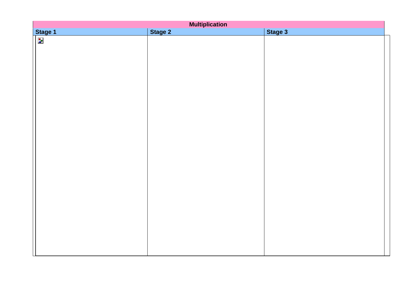| Stage 2<br>Stage 3<br>Stage 1<br>$\overline{\mathbf{z}}$ | <b>Multiplication</b> |  |  |  |
|----------------------------------------------------------|-----------------------|--|--|--|
|                                                          |                       |  |  |  |
|                                                          |                       |  |  |  |
|                                                          |                       |  |  |  |
|                                                          |                       |  |  |  |
|                                                          |                       |  |  |  |
|                                                          |                       |  |  |  |
|                                                          |                       |  |  |  |
|                                                          |                       |  |  |  |
|                                                          |                       |  |  |  |
|                                                          |                       |  |  |  |
|                                                          |                       |  |  |  |
|                                                          |                       |  |  |  |
|                                                          |                       |  |  |  |
|                                                          |                       |  |  |  |
|                                                          |                       |  |  |  |
|                                                          |                       |  |  |  |
|                                                          |                       |  |  |  |
|                                                          |                       |  |  |  |
|                                                          |                       |  |  |  |
|                                                          |                       |  |  |  |
|                                                          |                       |  |  |  |
|                                                          |                       |  |  |  |
|                                                          |                       |  |  |  |
|                                                          |                       |  |  |  |
|                                                          |                       |  |  |  |
|                                                          |                       |  |  |  |
|                                                          |                       |  |  |  |
|                                                          |                       |  |  |  |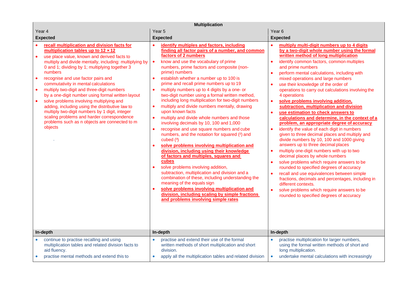| <b>Multiplication</b>                                                                                                                                                                                                                                                                                                                                                                                                                                                                                                                                                                                                                                                                                                                                      |                                                                                                                                                                                                                                                                                                                                                                                                                                                                                                                                                                                                                                                                                                                                                                                                                                                                                                                                                                                                                                                                                                                                                                                                                                                                                                                                                               |                                                                                                                                                                                                                                                                                                                                                                                                                                                                                                                                                                                                                                                                                                                                                                                                                                                                                                                                                                                                                                                                                                                                                                                                                                                                                                                                                                    |  |  |
|------------------------------------------------------------------------------------------------------------------------------------------------------------------------------------------------------------------------------------------------------------------------------------------------------------------------------------------------------------------------------------------------------------------------------------------------------------------------------------------------------------------------------------------------------------------------------------------------------------------------------------------------------------------------------------------------------------------------------------------------------------|---------------------------------------------------------------------------------------------------------------------------------------------------------------------------------------------------------------------------------------------------------------------------------------------------------------------------------------------------------------------------------------------------------------------------------------------------------------------------------------------------------------------------------------------------------------------------------------------------------------------------------------------------------------------------------------------------------------------------------------------------------------------------------------------------------------------------------------------------------------------------------------------------------------------------------------------------------------------------------------------------------------------------------------------------------------------------------------------------------------------------------------------------------------------------------------------------------------------------------------------------------------------------------------------------------------------------------------------------------------|--------------------------------------------------------------------------------------------------------------------------------------------------------------------------------------------------------------------------------------------------------------------------------------------------------------------------------------------------------------------------------------------------------------------------------------------------------------------------------------------------------------------------------------------------------------------------------------------------------------------------------------------------------------------------------------------------------------------------------------------------------------------------------------------------------------------------------------------------------------------------------------------------------------------------------------------------------------------------------------------------------------------------------------------------------------------------------------------------------------------------------------------------------------------------------------------------------------------------------------------------------------------------------------------------------------------------------------------------------------------|--|--|
| Year 4                                                                                                                                                                                                                                                                                                                                                                                                                                                                                                                                                                                                                                                                                                                                                     | Year <sub>5</sub>                                                                                                                                                                                                                                                                                                                                                                                                                                                                                                                                                                                                                                                                                                                                                                                                                                                                                                                                                                                                                                                                                                                                                                                                                                                                                                                                             | Year 6                                                                                                                                                                                                                                                                                                                                                                                                                                                                                                                                                                                                                                                                                                                                                                                                                                                                                                                                                                                                                                                                                                                                                                                                                                                                                                                                                             |  |  |
| <b>Expected</b>                                                                                                                                                                                                                                                                                                                                                                                                                                                                                                                                                                                                                                                                                                                                            | <b>Expected</b>                                                                                                                                                                                                                                                                                                                                                                                                                                                                                                                                                                                                                                                                                                                                                                                                                                                                                                                                                                                                                                                                                                                                                                                                                                                                                                                                               | <b>Expected</b>                                                                                                                                                                                                                                                                                                                                                                                                                                                                                                                                                                                                                                                                                                                                                                                                                                                                                                                                                                                                                                                                                                                                                                                                                                                                                                                                                    |  |  |
| recall multiplication and division facts for<br>multiplication tables up to 12 x 12<br>use place value, known and derived facts to<br>$\bullet$<br>multiply and divide mentally, including: multiplying by<br>0 and 1; dividing by 1; multiplying together 3<br>numbers<br>recognise and use factor pairs and<br>$\bullet$<br>commutativity in mental calculations<br>multiply two-digit and three-digit numbers<br>$\bullet$<br>by a one-digit number using formal written layout<br>solve problems involving multiplying and<br>$\bullet$<br>adding, including using the distributive law to<br>multiply two-digit numbers by 1 digit, integer<br>scaling problems and harder correspondence<br>problems such as n objects are connected to m<br>objects | identify multiples and factors, including<br>$\bullet$<br>finding all factor pairs of a number, and common<br>factors of 2 numbers<br>know and use the vocabulary of prime<br>$\bullet$<br>numbers, prime factors and composite (non-<br>prime) numbers<br>establish whether a number up to 100 is<br>$\bullet$<br>prime and recall prime numbers up to 19<br>multiply numbers up to 4 digits by a one- or<br>$\bullet$<br>two-digit number using a formal written method,<br>including long multiplication for two-digit numbers<br>multiply and divide numbers mentally, drawing<br>$\bullet$<br>upon known facts<br>multiply and divide whole numbers and those<br>$\bullet$<br>involving decimals by 10, 100 and 1,000<br>recognise and use square numbers and cube<br>$\bullet$<br>numbers, and the notation for squared (2) and<br>cubed $(3)$<br>solve problems involving multiplication and<br>$\bullet$<br>division, including using their knowledge<br>of factors and multiples, squares and<br>cubes<br>solve problems involving addition,<br>$\bullet$<br>subtraction, multiplication and division and a<br>combination of these, including understanding the<br>meaning of the equals sign<br>solve problems involving multiplication and<br>$\bullet$<br>division, including scaling by simple fractions<br>and problems involving simple rates | multiply multi-digit numbers up to 4 digits<br>$\bullet$<br>by a two-digit whole number using the formal<br>written method of long multiplication<br>identify common factors, common multiples<br>$\bullet$<br>and prime numbers<br>perform mental calculations, including with<br>$\bullet$<br>mixed operations and large numbers<br>use their knowledge of the order of<br>$\bullet$<br>operations to carry out calculations involving the<br>4 operations<br>solve problems involving addition.<br>$\bullet$<br>subtraction, multiplication and division<br>use estimation to check answers to<br>$\bullet$<br>calculations and determine, in the context of a<br>problem, an appropriate degree of accuracy<br>identify the value of each digit in numbers<br>$\bullet$<br>given to three decimal places and multiply and<br>divide numbers by 10, 100 and 1000 giving<br>answers up to three decimal places<br>multiply one-digit numbers with up to two<br>$\bullet$<br>decimal places by whole numbers<br>solve problems which require answers to be<br>$\bullet$<br>rounded to specified degrees of accuracy<br>recall and use equivalences between simple<br>$\bullet$<br>fractions, decimals and percentages, including in<br>different contexts.<br>solve problems which require answers to be<br>$\bullet$<br>rounded to specified degrees of accuracy |  |  |
| In-depth                                                                                                                                                                                                                                                                                                                                                                                                                                                                                                                                                                                                                                                                                                                                                   | In-depth                                                                                                                                                                                                                                                                                                                                                                                                                                                                                                                                                                                                                                                                                                                                                                                                                                                                                                                                                                                                                                                                                                                                                                                                                                                                                                                                                      | In-depth                                                                                                                                                                                                                                                                                                                                                                                                                                                                                                                                                                                                                                                                                                                                                                                                                                                                                                                                                                                                                                                                                                                                                                                                                                                                                                                                                           |  |  |
| continue to practise recalling and using<br>multiplication tables and related division facts to<br>aid fluency.<br>practise mental methods and extend this to<br>$\bullet$                                                                                                                                                                                                                                                                                                                                                                                                                                                                                                                                                                                 | practise and extend their use of the formal<br>$\bullet$<br>written methods of short multiplication and short<br>division.<br>$\bullet$<br>apply all the multiplication tables and related division                                                                                                                                                                                                                                                                                                                                                                                                                                                                                                                                                                                                                                                                                                                                                                                                                                                                                                                                                                                                                                                                                                                                                           | practise multiplication for larger numbers,<br>$\bullet$<br>using the formal written methods of short and<br>long multiplication.<br>undertake mental calculations with increasingly<br>$\bullet$                                                                                                                                                                                                                                                                                                                                                                                                                                                                                                                                                                                                                                                                                                                                                                                                                                                                                                                                                                                                                                                                                                                                                                  |  |  |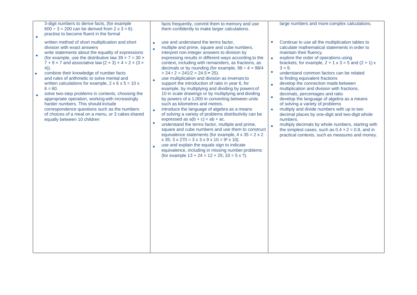| 3-digit numbers to derive facts, (for example<br>$600 \div 3 = 200$ can be derived from $2 \times 3 = 6$ ).<br>practise to become fluent in the formal<br>$\bullet$                                                                                                                                                                                                                                                                                                                                                                                                                                                                                                                                                                                                       |                                                                                                                                                  | facts frequently, commit them to memory and use<br>them confidently to make larger calculations.                                                                                                                                                                                                                                                                                                                                                                                                                                                                                                                                                                                                                                                                                                                                                                                                                                                                                                                                                                                                                                                                                       | large numbers and more complex calculations.                                                                                                                                                                                                                                                                                                                                                                                                                                                                                                                                                                                                                                                                                                                                                                                      |
|---------------------------------------------------------------------------------------------------------------------------------------------------------------------------------------------------------------------------------------------------------------------------------------------------------------------------------------------------------------------------------------------------------------------------------------------------------------------------------------------------------------------------------------------------------------------------------------------------------------------------------------------------------------------------------------------------------------------------------------------------------------------------|--------------------------------------------------------------------------------------------------------------------------------------------------|----------------------------------------------------------------------------------------------------------------------------------------------------------------------------------------------------------------------------------------------------------------------------------------------------------------------------------------------------------------------------------------------------------------------------------------------------------------------------------------------------------------------------------------------------------------------------------------------------------------------------------------------------------------------------------------------------------------------------------------------------------------------------------------------------------------------------------------------------------------------------------------------------------------------------------------------------------------------------------------------------------------------------------------------------------------------------------------------------------------------------------------------------------------------------------------|-----------------------------------------------------------------------------------------------------------------------------------------------------------------------------------------------------------------------------------------------------------------------------------------------------------------------------------------------------------------------------------------------------------------------------------------------------------------------------------------------------------------------------------------------------------------------------------------------------------------------------------------------------------------------------------------------------------------------------------------------------------------------------------------------------------------------------------|
| written method of short multiplication and short<br>division with exact answers<br>write statements about the equality of expressions<br>(for example, use the distributive law $39 \times 7 = 30 \times$<br>$7 + 9 \times 7$ and associative law (2 x 3) $\times$ 4 = 2 x (3 x<br>$4)$ ).<br>combine their knowledge of number facts<br>$\bullet$<br>and rules of arithmetic to solve mental and<br>written calculations for example, $2 \times 6 \times 5 = 10 \times$<br>$6 = 60.$<br>solve two-step problems in contexts, choosing the<br>appropriate operation, working with increasingly<br>harder numbers. This should include<br>correspondence questions such as the numbers<br>of choices of a meal on a menu, or 3 cakes shared<br>equally between 10 children | $\blacksquare$<br>$= 24$ r 2 = 241/2 = 24.5 $\approx$ 25).<br>such as kilometres and metres.<br>expressed as $a(b + c) = ab + ac$ .<br>$\bullet$ | use and understand the terms factor,<br>$\bullet$<br>multiple and prime, square and cube numbers.<br>interpret non-integer answers to division by<br>expressing results in different ways according to the<br>$\bullet$<br>context, including with remainders, as fractions, as<br>decimals or by rounding (for example, $98 \div 4 = 98/4$<br>$\bullet$<br>use multiplication and division as inverses to<br>support the introduction of ratio in year 6, for<br>$\bullet$<br>example, by multiplying and dividing by powers of<br>10 in scale drawings or by multiplying and dividing<br>$\bullet$<br>by powers of a 1,000 in converting between units<br>introduce the language of algebra as a means<br>$\bullet$<br>of solving a variety of problems distributivity can be<br>understand the terms factor, multiple and prime,<br>square and cube numbers and use them to construct<br>equivalence statements (for example, $4 \times 35 = 2 \times 2$<br>$x$ 35; 3 x 270 = 3 x 3 x 9 x 10 = 9 <sup>2</sup> x 10).<br>use and explain the equals sign to indicate<br>equivalence, including in missing number problems<br>(for example $13 + 24 = 12 + 25$ ; $33 = 5 \times ?$ ). | Continue to use all the multiplication tables to<br>calculate mathematical statements in order to<br>maintain their fluency.<br>explore the order of operations using<br>brackets; for example, $2 + 1 \times 3 = 5$ and $(2 + 1) \times$<br>$3 = 9.$<br>understand common factors can be related<br>to finding equivalent fractions<br>develop the connection made between<br>multiplication and division with fractions,<br>decimals, percentages and ratio<br>develop the language of algebra as a means<br>of solving a variety of problems<br>multiply and divide numbers with up to two<br>decimal places by one-digit and two-digit whole<br>numbers.<br>multiply decimals by whole numbers, starting with<br>the simplest cases, such as $0.4 \times 2 = 0.8$ , and in<br>practical contexts, such as measures and money. |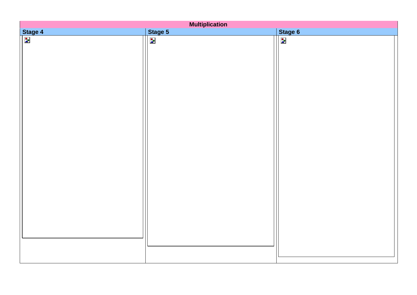| <b>Multiplication</b>   |                         |                         |  |
|-------------------------|-------------------------|-------------------------|--|
| Stage 4                 | Stage 5                 | Stage 6                 |  |
| $\overline{\mathbf{z}}$ | $\overline{\mathbf{z}}$ | $\overline{\mathbf{z}}$ |  |
|                         |                         |                         |  |
|                         |                         |                         |  |
|                         |                         |                         |  |
|                         |                         |                         |  |
|                         |                         |                         |  |
|                         |                         |                         |  |
|                         |                         |                         |  |
|                         |                         |                         |  |
|                         |                         |                         |  |
|                         |                         |                         |  |
|                         |                         |                         |  |
|                         |                         |                         |  |
|                         |                         |                         |  |
|                         |                         |                         |  |
|                         |                         |                         |  |
|                         |                         |                         |  |
|                         |                         |                         |  |
|                         |                         |                         |  |
|                         |                         |                         |  |
|                         |                         |                         |  |
|                         |                         |                         |  |
|                         |                         |                         |  |
|                         |                         |                         |  |
|                         |                         |                         |  |
|                         |                         |                         |  |
|                         |                         |                         |  |
|                         |                         |                         |  |
|                         |                         |                         |  |
|                         |                         |                         |  |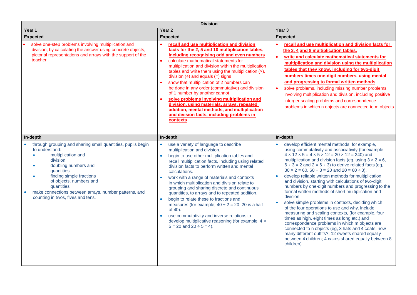| <b>Division</b>                                                                                                                                                                                                                                                                                                                       |                                                                                                                                                                                                                                                                                                                                                                                                                                                                                                                                                                                                                                                                                                                                                              |                                                                                                                                                                                                                                                                                                                                                                                                                                                                                                                                                                                                                                                                                                                                                                                                                                                                                                                                                                                                                                                                                                 |  |  |
|---------------------------------------------------------------------------------------------------------------------------------------------------------------------------------------------------------------------------------------------------------------------------------------------------------------------------------------|--------------------------------------------------------------------------------------------------------------------------------------------------------------------------------------------------------------------------------------------------------------------------------------------------------------------------------------------------------------------------------------------------------------------------------------------------------------------------------------------------------------------------------------------------------------------------------------------------------------------------------------------------------------------------------------------------------------------------------------------------------------|-------------------------------------------------------------------------------------------------------------------------------------------------------------------------------------------------------------------------------------------------------------------------------------------------------------------------------------------------------------------------------------------------------------------------------------------------------------------------------------------------------------------------------------------------------------------------------------------------------------------------------------------------------------------------------------------------------------------------------------------------------------------------------------------------------------------------------------------------------------------------------------------------------------------------------------------------------------------------------------------------------------------------------------------------------------------------------------------------|--|--|
| Year 1                                                                                                                                                                                                                                                                                                                                | Year <sub>2</sub>                                                                                                                                                                                                                                                                                                                                                                                                                                                                                                                                                                                                                                                                                                                                            | Year <sub>3</sub>                                                                                                                                                                                                                                                                                                                                                                                                                                                                                                                                                                                                                                                                                                                                                                                                                                                                                                                                                                                                                                                                               |  |  |
| <b>Expected</b>                                                                                                                                                                                                                                                                                                                       | <b>Expected</b>                                                                                                                                                                                                                                                                                                                                                                                                                                                                                                                                                                                                                                                                                                                                              | <b>Expected</b>                                                                                                                                                                                                                                                                                                                                                                                                                                                                                                                                                                                                                                                                                                                                                                                                                                                                                                                                                                                                                                                                                 |  |  |
| solve one-step problems involving multiplication and<br>division, by calculating the answer using concrete objects,<br>pictorial representations and arrays with the support of the<br>teacher                                                                                                                                        | recall and use multiplication and division<br>facts for the 2, 5 and 10 multiplication tables,<br>including recognising odd and even numbers<br>calculate mathematical statements for<br>$\bullet$<br>multiplication and division within the multiplication<br>tables and write them using the multiplication $(x)$ ,<br>division $(+)$ and equals $(=)$ signs<br>show that multiplication of 2 numbers can<br>$\bullet$<br>be done in any order (commutative) and division<br>of 1 number by another cannot<br>solve problems involving multiplication and<br>$\bullet$<br>division, using materials, arrays, repeated<br>addition, mental methods, and multiplication<br>and division facts, including problems in<br>contexts                             | recall and use multiplication and division facts for<br>the 3, 4 and 8 multiplication tables.<br>$\bullet$<br>write and calculate mathematical statements for<br>multiplication and division using the multiplication<br>tables that they know, including for two-digit<br>numbers times one-digit numbers, using mental<br>and progressing to formal written methods<br>solve problems, including missing number problems,<br>involving multiplication and division, including positive<br>interger scaling problems and correspondence<br>problems in which n objects are connected to m objects                                                                                                                                                                                                                                                                                                                                                                                                                                                                                              |  |  |
| In-depth                                                                                                                                                                                                                                                                                                                              | In-depth                                                                                                                                                                                                                                                                                                                                                                                                                                                                                                                                                                                                                                                                                                                                                     | In-depth                                                                                                                                                                                                                                                                                                                                                                                                                                                                                                                                                                                                                                                                                                                                                                                                                                                                                                                                                                                                                                                                                        |  |  |
| through grouping and sharing small quantities, pupils begin<br>to understand:<br>multiplication and<br>$\bullet$<br>division<br>doubling numbers and<br>quantities<br>finding simple fractions<br>of objects, numbers and<br>quantities<br>make connections between arrays, number patterns, and<br>counting in twos, fives and tens. | use a variety of language to describe<br>$\bullet$<br>multiplication and division.<br>begin to use other multiplication tables and<br>$\bullet$<br>recall multiplication facts, including using related<br>division facts to perform written and mental<br>calculations.<br>work with a range of materials and contexts<br>$\bullet$<br>in which multiplication and division relate to<br>grouping and sharing discrete and continuous<br>quantities, to arrays and to repeated addition.<br>begin to relate these to fractions and<br>$\bullet$<br>measures (for example, $40 \div 2 = 20$ , 20 is a half<br>of 40).<br>use commutativity and inverse relations to<br>develop multiplicative reasoning (for example, 4 x<br>$5 = 20$ and $20 \div 5 = 4$ ). | develop efficient mental methods, for example,<br>$\bullet$<br>using commutativity and associativity (for example,<br>$4 \times 12 \times 5 = 4 \times 5 \times 12 = 20 \times 12 = 240$ ) and<br>multiplication and division facts (eg, using $3 \times 2 = 6$ ,<br>$6 \div 3 = 2$ and $2 = 6 \div 3$ to derive related facts (eg,<br>$30 \times 2 = 60$ , $60 \div 3 = 20$ and $20 = 60 \div 3$ ).<br>develop reliable written methods for multiplication<br>and division, starting with calculations of two-digit<br>numbers by one-digit numbers and progressing to the<br>formal written methods of short multiplication and<br>division.<br>solve simple problems in contexts, deciding which<br>of the four operations to use and why. Include<br>measuring and scaling contexts, (for example, four<br>times as high, eight times as long etc.) and<br>correspondence problems in which m objects are<br>connected to n objects (eg, 3 hats and 4 coats, how<br>many different outfits?; 12 sweets shared equally<br>between 4 children; 4 cakes shared equally between 8<br>children). |  |  |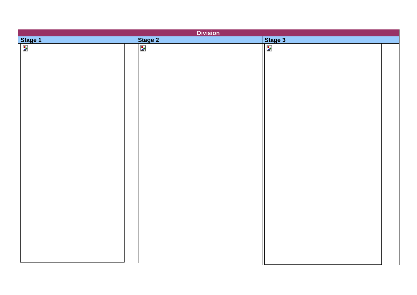|                         | <b>Division</b> |                         |                         |  |
|-------------------------|-----------------|-------------------------|-------------------------|--|
| Stage 1                 |                 | Stage 2                 | Stage 3                 |  |
| $\overline{\mathbf{z}}$ |                 | $\overline{\mathbf{z}}$ | $\overline{\mathbf{z}}$ |  |
|                         |                 |                         |                         |  |
|                         |                 |                         |                         |  |
|                         |                 |                         |                         |  |
|                         |                 |                         |                         |  |
|                         |                 |                         |                         |  |
|                         |                 |                         |                         |  |
|                         |                 |                         |                         |  |
|                         |                 |                         |                         |  |
|                         |                 |                         |                         |  |
|                         |                 |                         |                         |  |
|                         |                 |                         |                         |  |
|                         |                 |                         |                         |  |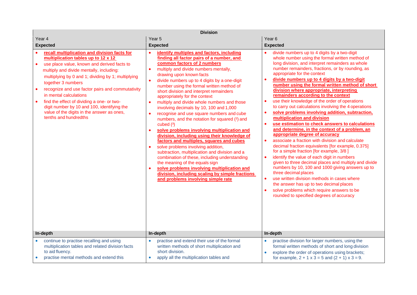|                                                                                                                                                                                                                                                                                                                                                                                                                                                                                                                                        | <b>Division</b>                                                                                                                                                                                                                                                                                                                                                                                                                                                                                                                                                                                                                                                                                                                                                                                                                                                                                                                                                                                                                                                                                                                                  |                                                                                                                                                                                                                                                                                                                                                                                                                                                                                                                                                                                                                                                                                                                                                                                                                                                                                                                                                                                                                                                                                                                                                                                                                                                                                                                                                                            |
|----------------------------------------------------------------------------------------------------------------------------------------------------------------------------------------------------------------------------------------------------------------------------------------------------------------------------------------------------------------------------------------------------------------------------------------------------------------------------------------------------------------------------------------|--------------------------------------------------------------------------------------------------------------------------------------------------------------------------------------------------------------------------------------------------------------------------------------------------------------------------------------------------------------------------------------------------------------------------------------------------------------------------------------------------------------------------------------------------------------------------------------------------------------------------------------------------------------------------------------------------------------------------------------------------------------------------------------------------------------------------------------------------------------------------------------------------------------------------------------------------------------------------------------------------------------------------------------------------------------------------------------------------------------------------------------------------|----------------------------------------------------------------------------------------------------------------------------------------------------------------------------------------------------------------------------------------------------------------------------------------------------------------------------------------------------------------------------------------------------------------------------------------------------------------------------------------------------------------------------------------------------------------------------------------------------------------------------------------------------------------------------------------------------------------------------------------------------------------------------------------------------------------------------------------------------------------------------------------------------------------------------------------------------------------------------------------------------------------------------------------------------------------------------------------------------------------------------------------------------------------------------------------------------------------------------------------------------------------------------------------------------------------------------------------------------------------------------|
| Year <sub>4</sub>                                                                                                                                                                                                                                                                                                                                                                                                                                                                                                                      | Year 5                                                                                                                                                                                                                                                                                                                                                                                                                                                                                                                                                                                                                                                                                                                                                                                                                                                                                                                                                                                                                                                                                                                                           | Year 6                                                                                                                                                                                                                                                                                                                                                                                                                                                                                                                                                                                                                                                                                                                                                                                                                                                                                                                                                                                                                                                                                                                                                                                                                                                                                                                                                                     |
| <b>Expected</b>                                                                                                                                                                                                                                                                                                                                                                                                                                                                                                                        | <b>Expected</b>                                                                                                                                                                                                                                                                                                                                                                                                                                                                                                                                                                                                                                                                                                                                                                                                                                                                                                                                                                                                                                                                                                                                  | <b>Expected</b>                                                                                                                                                                                                                                                                                                                                                                                                                                                                                                                                                                                                                                                                                                                                                                                                                                                                                                                                                                                                                                                                                                                                                                                                                                                                                                                                                            |
| recall multiplication and division facts for<br>multiplication tables up to 12 x 12<br>use place value, known and derived facts to<br>$\bullet$<br>multiply and divide mentally, including:<br>multiplying by 0 and 1; dividing by 1; multiplying<br>together 3 numbers<br>recognize and use factor pairs and commutativity<br>$\bullet$<br>in mental calculations<br>find the effect of dividing a one- or two-<br>digit number by 10 and 100, identifying the<br>value of the digits in the answer as ones,<br>tenths and hundredths | identify multiples and factors, including<br>$\bullet$<br>finding all factor pairs of a number, and<br>common factors of 2 numbers<br>multiply and divide numbers mentally,<br>$\bullet$<br>drawing upon known facts<br>divide numbers up to 4 digits by a one-digit<br>$\bullet$<br>number using the formal written method of<br>short division and interpret remainders<br>appropriately for the context<br>multiply and divide whole numbers and those<br>$\bullet$<br>involving decimals by 10, 100 and 1,000<br>recognise and use square numbers and cube<br>$\bullet$<br>numbers, and the notation for squared (2) and<br>cubed $(3)$<br>solve problems involving multiplication and<br>$\bullet$<br>division, including using their knowledge of<br>factors and multiples, squares and cubes<br>solve problems involving addition,<br>$\bullet$<br>subtraction, multiplication and division and a<br>combination of these, including understanding<br>the meaning of the equals sign<br>solve problems involving multiplication and<br>$\bullet$<br>division, including scaling by simple fractions<br>and problems involving simple rate | divide numbers up to 4 digits by a two-digit<br>whole number using the formal written method of<br>long division, and interpret remainders as whole<br>number remainders, fractions, or by rounding, as<br>appropriate for the context<br>divide numbers up to 4 digits by a two-digit<br>$\bullet$<br>number using the formal written method of short<br>division where appropriate, interpreting<br>remainders according to the context<br>use their knowledge of the order of operations<br>$\bullet$<br>to carry out calculations involving the 4 operations<br>solve problems involving addition, subtraction,<br>$\bullet$<br>multiplication and division<br>use estimation to check answers to calculations<br>$\bullet$<br>and determine, in the context of a problem, an<br>appropriate degree of accuracy<br>associate a fraction with division and calculate<br>$\bullet$<br>decimal fraction equivalents [for example, 0.375]<br>for a simple fraction [for example, 3/8]<br>identify the value of each digit in numbers<br>$\bullet$<br>given to three decimal places and multiply and divide<br>numbers by 10, 100 and 1000 giving answers up to<br>three decimal places<br>use written division methods in cases where<br>the answer has up to two decimal places<br>solve problems which require answers to be<br>rounded to specified degrees of accuracy |
| In-depth                                                                                                                                                                                                                                                                                                                                                                                                                                                                                                                               | In-depth                                                                                                                                                                                                                                                                                                                                                                                                                                                                                                                                                                                                                                                                                                                                                                                                                                                                                                                                                                                                                                                                                                                                         | In-depth                                                                                                                                                                                                                                                                                                                                                                                                                                                                                                                                                                                                                                                                                                                                                                                                                                                                                                                                                                                                                                                                                                                                                                                                                                                                                                                                                                   |
| continue to practise recalling and using<br>multiplication tables and related division facts<br>to aid fluency.<br>practise mental methods and extend this<br>$\bullet$                                                                                                                                                                                                                                                                                                                                                                | practise and extend their use of the formal<br>written methods of short multiplication and<br>short division.<br>apply all the multiplication tables and<br>$\bullet$                                                                                                                                                                                                                                                                                                                                                                                                                                                                                                                                                                                                                                                                                                                                                                                                                                                                                                                                                                            | practise division for larger numbers, using the<br>formal written methods of short and long division<br>explore the order of operations using brackets;<br>$\bullet$<br>for example, $2 + 1 \times 3 = 5$ and $(2 + 1) \times 3 = 9$ .                                                                                                                                                                                                                                                                                                                                                                                                                                                                                                                                                                                                                                                                                                                                                                                                                                                                                                                                                                                                                                                                                                                                     |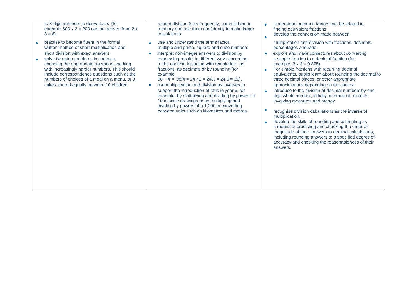| to 3-digit numbers to derive facts, (for<br>example $600 \div 3 = 200$ can be derived from 2 x<br>$3 = 6$ ).<br>practise to become fluent in the formal<br>written method of short multiplication and<br>short division with exact answers<br>solve two-step problems in contexts,<br>choosing the appropriate operation, working<br>with increasingly harder numbers. This should<br>include correspondence questions such as the<br>numbers of choices of a meal on a menu, or 3<br>cakes shared equally between 10 children | related division facts frequently, commit them to<br>memory and use them confidently to make larger<br>calculations.<br>use and understand the terms factor,<br>multiple and prime, square and cube numbers.<br>interpret non-integer answers to division by<br>expressing results in different ways according<br>to the context, including with remainders, as<br>fractions, as decimals or by rounding (for<br>example,<br>$98 \div 4 = 98/4 = 24$ r $2 = 24\frac{1}{2} = 24.5 \approx 25$ .<br>use multiplication and division as inverses to<br>$\bullet$<br>support the introduction of ratio in year 6, for<br>example, by multiplying and dividing by powers of<br>10 in scale drawings or by multiplying and<br>dividing by powers of a 1,000 in converting<br>between units such as kilometres and metres. | Understand common factors can be related to<br>$\bullet$<br>finding equivalent fractions<br>develop the connection made between<br>$\bullet$<br>multiplication and division with fractions, decimals,<br>percentages and ratio<br>explore and make conjectures about converting<br>$\bullet$<br>a simple fraction to a decimal fraction (for<br>example, $3 \div 8 = 0.375$ ).<br>For simple fractions with recurring decimal<br>equivalents, pupils learn about rounding the decimal to<br>three decimal places, or other appropriate<br>approximations depending on the context.<br>introduce to the division of decimal numbers by one-<br>$\bullet$<br>digit whole number, initially, in practical contexts<br>involving measures and money.<br>recognise division calculations as the inverse of<br>multiplication.<br>develop the skills of rounding and estimating as<br>a means of predicting and checking the order of<br>magnitude of their answers to decimal calculations,<br>including rounding answers to a specified degree of<br>accuracy and checking the reasonableness of their |
|--------------------------------------------------------------------------------------------------------------------------------------------------------------------------------------------------------------------------------------------------------------------------------------------------------------------------------------------------------------------------------------------------------------------------------------------------------------------------------------------------------------------------------|---------------------------------------------------------------------------------------------------------------------------------------------------------------------------------------------------------------------------------------------------------------------------------------------------------------------------------------------------------------------------------------------------------------------------------------------------------------------------------------------------------------------------------------------------------------------------------------------------------------------------------------------------------------------------------------------------------------------------------------------------------------------------------------------------------------------|----------------------------------------------------------------------------------------------------------------------------------------------------------------------------------------------------------------------------------------------------------------------------------------------------------------------------------------------------------------------------------------------------------------------------------------------------------------------------------------------------------------------------------------------------------------------------------------------------------------------------------------------------------------------------------------------------------------------------------------------------------------------------------------------------------------------------------------------------------------------------------------------------------------------------------------------------------------------------------------------------------------------------------------------------------------------------------------------------|
|                                                                                                                                                                                                                                                                                                                                                                                                                                                                                                                                |                                                                                                                                                                                                                                                                                                                                                                                                                                                                                                                                                                                                                                                                                                                                                                                                                     | answers.                                                                                                                                                                                                                                                                                                                                                                                                                                                                                                                                                                                                                                                                                                                                                                                                                                                                                                                                                                                                                                                                                           |